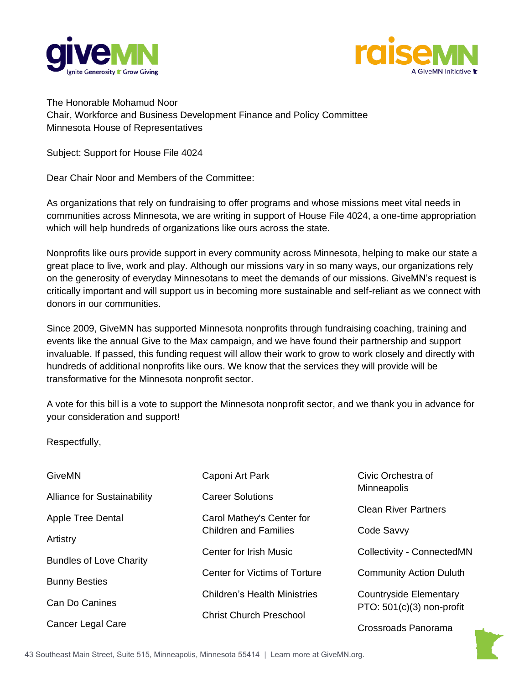



The Honorable Mohamud Noor Chair, Workforce and Business Development Finance and Policy Committee Minnesota House of Representatives

Subject: Support for House File 4024

Dear Chair Noor and Members of the Committee:

As organizations that rely on fundraising to offer programs and whose missions meet vital needs in communities across Minnesota, we are writing in support of House File 4024, a one-time appropriation which will help hundreds of organizations like ours across the state.

Nonprofits like ours provide support in every community across Minnesota, helping to make our state a great place to live, work and play. Although our missions vary in so many ways, our organizations rely on the generosity of everyday Minnesotans to meet the demands of our missions. GiveMN's request is critically important and will support us in becoming more sustainable and self-reliant as we connect with donors in our communities.

Since 2009, GiveMN has supported Minnesota nonprofits through fundraising coaching, training and events like the annual Give to the Max campaign, and we have found their partnership and support invaluable. If passed, this funding request will allow their work to grow to work closely and directly with hundreds of additional nonprofits like ours. We know that the services they will provide will be transformative for the Minnesota nonprofit sector.

A vote for this bill is a vote to support the Minnesota nonprofit sector, and we thank you in advance for your consideration and support!

Respectfully,

| GiveMN                             | Caponi Art Park                     | Civic Orchestra of                |
|------------------------------------|-------------------------------------|-----------------------------------|
| <b>Alliance for Sustainability</b> | <b>Career Solutions</b>             | Minneapolis                       |
| Apple Tree Dental                  | Carol Mathey's Center for           | <b>Clean River Partners</b>       |
| Artistry                           | <b>Children and Families</b>        | Code Savvy                        |
| <b>Bundles of Love Charity</b>     | Center for Irish Music              | <b>Collectivity - ConnectedMN</b> |
|                                    | Center for Victims of Torture       | <b>Community Action Duluth</b>    |
| <b>Bunny Besties</b>               | <b>Children's Health Ministries</b> | <b>Countryside Elementary</b>     |
| Can Do Canines                     | <b>Christ Church Preschool</b>      | PTO: 501(c)(3) non-profit         |
| Cancer Legal Care                  |                                     | Crossroads Panorama               |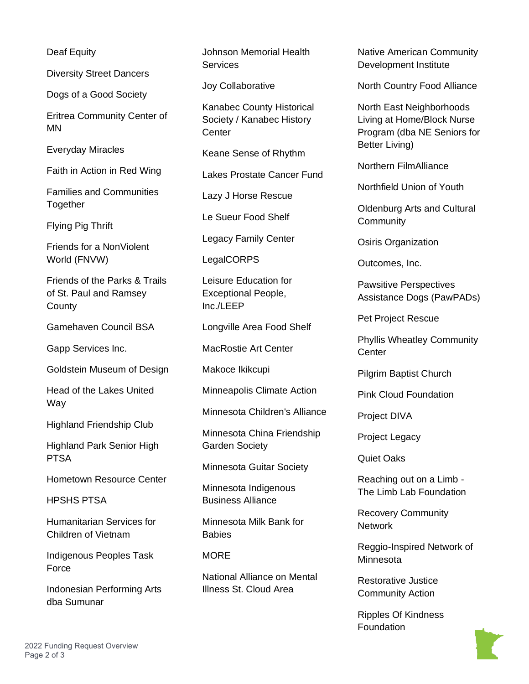Deaf Equity

Diversity Street Dancers

Dogs of a Good Society

Eritrea Community Center of MN

Everyday Miracles

Faith in Action in Red Wing

Families and Communities Together

Flying Pig Thrift

Friends for a NonViolent World (FNVW)

Friends of the Parks & Trails of St. Paul and Ramsey **County** 

Gamehaven Council BSA

Gapp Services Inc.

Goldstein Museum of Design

Head of the Lakes United Way

Highland Friendship Club

Highland Park Senior High PTSA

Hometown Resource Center

HPSHS PTSA

Humanitarian Services for Children of Vietnam

Indigenous Peoples Task **Force** 

Indonesian Performing Arts dba Sumunar

Johnson Memorial Health Services

Joy Collaborative

Kanabec County Historical Society / Kanabec History **Center** 

Keane Sense of Rhythm

Lakes Prostate Cancer Fund

Lazy J Horse Rescue

Le Sueur Food Shelf

Legacy Family Center

LegalCORPS

Leisure Education for Exceptional People, Inc./LEEP

Longville Area Food Shelf

MacRostie Art Center

Makoce Ikikcupi

Minneapolis Climate Action

Minnesota Children's Alliance

Minnesota China Friendship Garden Society

Minnesota Guitar Society

Minnesota Indigenous Business Alliance

Minnesota Milk Bank for **Babies** 

## **MORE**

National Alliance on Mental Illness St. Cloud Area

Native American Community Development Institute

North Country Food Alliance

North East Neighborhoods Living at Home/Block Nurse Program (dba NE Seniors for Better Living)

Northern FilmAlliance

Northfield Union of Youth

Oldenburg Arts and Cultural **Community** 

Osiris Organization

Outcomes, Inc.

Pawsitive Perspectives Assistance Dogs (PawPADs)

Pet Project Rescue

Phyllis Wheatley Community **Center** 

Pilgrim Baptist Church

Pink Cloud Foundation

Project DIVA

Project Legacy

Quiet Oaks

Reaching out on a Limb - The Limb Lab Foundation

Recovery Community **Network** 

Reggio-Inspired Network of Minnesota

Restorative Justice Community Action

Ripples Of Kindness Foundation